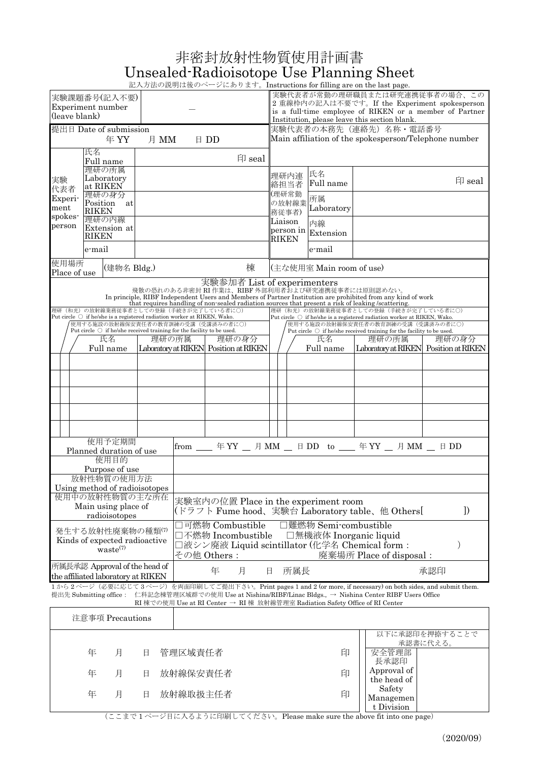| 非密封放射性物質使用計画書                            |  |
|------------------------------------------|--|
| Unsealed-Radioisotope Use Planning Sheet |  |

記入方法の説明は後のページにあります。Instructions for filling are on the last page.

|                                                                                                                                                                                                                                                                                                               |                                                | 実験課題番号(記入不要)                                                        |          |                                                                                                                          |                                                           |                                                                                |                                                                                                          |                                    | $\vee$ $\cup$ $\in$ $\vee$ $\vee$ $\cup$ $\vee$ $\cup$ $\in$ $\mathbb{R}$ . The state of $\mathbb{R}$ and $\mathbb{R}$ and $\vee$ $\vee$ $\vee$ $\vee$ $\vee$ $\vee$ $\vee$ $\vee$ $\vee$ $\vee$ $\vee$ $\vee$ $\vee$ $\vee$ $\vee$ $\vee$ $\vee$ $\vee$ $\vee$ $\vee$ $\ve$ |  | 実験代表者が常勤の理研職員または研究連携従事者の場合、この                                                                                            |          |  |  |  |  |
|---------------------------------------------------------------------------------------------------------------------------------------------------------------------------------------------------------------------------------------------------------------------------------------------------------------|------------------------------------------------|---------------------------------------------------------------------|----------|--------------------------------------------------------------------------------------------------------------------------|-----------------------------------------------------------|--------------------------------------------------------------------------------|----------------------------------------------------------------------------------------------------------|------------------------------------|------------------------------------------------------------------------------------------------------------------------------------------------------------------------------------------------------------------------------------------------------------------------------|--|--------------------------------------------------------------------------------------------------------------------------|----------|--|--|--|--|
| Experiment number                                                                                                                                                                                                                                                                                             |                                                |                                                                     |          |                                                                                                                          |                                                           |                                                                                | 2 重線枠内の記入は不要です。If the Experiment spokesperson<br>is a full-time employee of RIKEN or a member of Partner |                                    |                                                                                                                                                                                                                                                                              |  |                                                                                                                          |          |  |  |  |  |
| (leave blank)                                                                                                                                                                                                                                                                                                 |                                                |                                                                     |          |                                                                                                                          |                                                           |                                                                                | Institution, please leave this section blank.                                                            |                                    |                                                                                                                                                                                                                                                                              |  |                                                                                                                          |          |  |  |  |  |
| 提出日 Date of submission<br>年YY<br>月 MM<br>$\boxplus$ DD                                                                                                                                                                                                                                                        |                                                |                                                                     |          |                                                                                                                          |                                                           | 実験代表者の本務先(連絡先)名称・電話番号<br>Main affiliation of the spokesperson/Telephone number |                                                                                                          |                                    |                                                                                                                                                                                                                                                                              |  |                                                                                                                          |          |  |  |  |  |
| 氏名<br>Full name                                                                                                                                                                                                                                                                                               |                                                |                                                                     |          |                                                                                                                          | 印 seal                                                    |                                                                                |                                                                                                          |                                    |                                                                                                                                                                                                                                                                              |  |                                                                                                                          |          |  |  |  |  |
| 実験                                                                                                                                                                                                                                                                                                            |                                                | 理研の所属<br>Laboratory                                                 |          |                                                                                                                          |                                                           |                                                                                |                                                                                                          | 理研内連<br>絡担当者                       | 氏名<br>Full name                                                                                                                                                                                                                                                              |  |                                                                                                                          | 印 seal   |  |  |  |  |
| 代表者<br>Experi-<br>ment                                                                                                                                                                                                                                                                                        |                                                | at RIKEN<br>理研の身分<br>Position at                                    |          |                                                                                                                          |                                                           |                                                                                | (理研常勤                                                                                                    | の放射線業                              | 所属                                                                                                                                                                                                                                                                           |  |                                                                                                                          |          |  |  |  |  |
| spokes-                                                                                                                                                                                                                                                                                                       | RIKEN<br>理研の内線<br>Extension at<br><b>RIKEN</b> |                                                                     |          |                                                                                                                          | 務従事者)<br>Liaison<br>RIKEN                                 |                                                                                |                                                                                                          |                                    | Laboratory                                                                                                                                                                                                                                                                   |  |                                                                                                                          |          |  |  |  |  |
| person                                                                                                                                                                                                                                                                                                        |                                                |                                                                     |          |                                                                                                                          |                                                           |                                                                                |                                                                                                          |                                    | 内線<br>person in Extension                                                                                                                                                                                                                                                    |  |                                                                                                                          |          |  |  |  |  |
|                                                                                                                                                                                                                                                                                                               | e-mail                                         |                                                                     |          |                                                                                                                          |                                                           |                                                                                |                                                                                                          |                                    | e-mail                                                                                                                                                                                                                                                                       |  |                                                                                                                          |          |  |  |  |  |
| 使用場所<br>Place of use                                                                                                                                                                                                                                                                                          |                                                | (建物名 Bldg.)                                                         |          |                                                                                                                          |                                                           | 棟                                                                              |                                                                                                          |                                    | (主な使用室 Main room of use)                                                                                                                                                                                                                                                     |  |                                                                                                                          |          |  |  |  |  |
|                                                                                                                                                                                                                                                                                                               |                                                |                                                                     |          |                                                                                                                          |                                                           | 実験参加者 List of experimenters                                                    |                                                                                                          |                                    | 飛散の恐れのある非密封 RI 作業は、RIBF 外部利用者および研究連携従事者には原則認めない。                                                                                                                                                                                                                             |  | In principle, RIBF Independent Users and Members of Partner Institution are prohibited from any kind of work             |          |  |  |  |  |
|                                                                                                                                                                                                                                                                                                               |                                                |                                                                     |          | 理研(和光)の放射線業務従事者としての登録(手続きが完了している者に〇)<br>Put circle $\bigcirc$ if he/she is a registered radiation worker at RIKEN, Wako. |                                                           |                                                                                |                                                                                                          |                                    | that requires handling of non-sealed radiation sources that present a risk of leaking /scattering.                                                                                                                                                                           |  | 理研(和光)の放射線業務従事者としての登録(手続きが完了している者に〇)<br>Put circle $\bigcirc$ if he/she is a registered radiation worker at RIKEN, Wako. |          |  |  |  |  |
|                                                                                                                                                                                                                                                                                                               |                                                |                                                                     |          | 使用する施設の放射線保安責任者の教育訓練の受講(受講済みの者に〇)                                                                                        |                                                           |                                                                                |                                                                                                          |                                    |                                                                                                                                                                                                                                                                              |  | 使用する施設の放射線保安責任者の教育訓練の受講(受講済みの者に〇)                                                                                        |          |  |  |  |  |
|                                                                                                                                                                                                                                                                                                               |                                                | 氏名                                                                  |          | Put circle $\bigcirc$ if he/she received training for the facility to be used.<br>理研の所属                                  |                                                           | 理研の身分                                                                          |                                                                                                          |                                    | 氏名                                                                                                                                                                                                                                                                           |  | Put circle $\bigcirc$ if he/she received training for the facility to be used.<br>理研の所属                                  | 理研の身分    |  |  |  |  |
|                                                                                                                                                                                                                                                                                                               |                                                | Full name                                                           |          | Laboratory at RIKEN Position at RIKEN                                                                                    |                                                           |                                                                                |                                                                                                          |                                    | Full name                                                                                                                                                                                                                                                                    |  | Laboratory at RIKEN Position at RIKEN                                                                                    |          |  |  |  |  |
|                                                                                                                                                                                                                                                                                                               |                                                |                                                                     |          |                                                                                                                          |                                                           |                                                                                |                                                                                                          |                                    |                                                                                                                                                                                                                                                                              |  |                                                                                                                          |          |  |  |  |  |
|                                                                                                                                                                                                                                                                                                               |                                                |                                                                     |          |                                                                                                                          |                                                           |                                                                                |                                                                                                          |                                    |                                                                                                                                                                                                                                                                              |  |                                                                                                                          |          |  |  |  |  |
|                                                                                                                                                                                                                                                                                                               |                                                |                                                                     |          |                                                                                                                          |                                                           |                                                                                |                                                                                                          |                                    |                                                                                                                                                                                                                                                                              |  |                                                                                                                          |          |  |  |  |  |
|                                                                                                                                                                                                                                                                                                               |                                                |                                                                     |          |                                                                                                                          |                                                           |                                                                                |                                                                                                          |                                    |                                                                                                                                                                                                                                                                              |  |                                                                                                                          |          |  |  |  |  |
|                                                                                                                                                                                                                                                                                                               |                                                |                                                                     |          |                                                                                                                          |                                                           |                                                                                |                                                                                                          |                                    |                                                                                                                                                                                                                                                                              |  |                                                                                                                          |          |  |  |  |  |
|                                                                                                                                                                                                                                                                                                               |                                                | 使用予定期間<br>Planned duration of use                                   |          |                                                                                                                          | from ___ 年 YY __ 月 MM __ 日 DD to ___ 年 YY __ 月 MM __ 日 DD |                                                                                |                                                                                                          |                                    |                                                                                                                                                                                                                                                                              |  |                                                                                                                          |          |  |  |  |  |
|                                                                                                                                                                                                                                                                                                               |                                                | 使用目的                                                                |          |                                                                                                                          |                                                           |                                                                                |                                                                                                          |                                    |                                                                                                                                                                                                                                                                              |  |                                                                                                                          |          |  |  |  |  |
|                                                                                                                                                                                                                                                                                                               |                                                | Purpose of use<br>放射性物質の使用方法                                        |          |                                                                                                                          |                                                           |                                                                                |                                                                                                          |                                    |                                                                                                                                                                                                                                                                              |  |                                                                                                                          |          |  |  |  |  |
|                                                                                                                                                                                                                                                                                                               |                                                | Using method of radioisotopes                                       |          |                                                                                                                          |                                                           |                                                                                |                                                                                                          |                                    |                                                                                                                                                                                                                                                                              |  |                                                                                                                          |          |  |  |  |  |
|                                                                                                                                                                                                                                                                                                               |                                                | 使用中の放射性物質の主な所在                                                      |          |                                                                                                                          |                                                           |                                                                                |                                                                                                          |                                    | 実験室内の位置 Place in the experiment room                                                                                                                                                                                                                                         |  |                                                                                                                          |          |  |  |  |  |
|                                                                                                                                                                                                                                                                                                               |                                                | Main using place of<br>radioisotopes                                |          |                                                                                                                          |                                                           |                                                                                | $\mathcal{I}$<br>(ドラフト Fume hood、実験台 Laboratory table、他 Others[                                          |                                    |                                                                                                                                                                                                                                                                              |  |                                                                                                                          |          |  |  |  |  |
|                                                                                                                                                                                                                                                                                                               |                                                | 発生する放射性廃棄物の種類(7)                                                    |          |                                                                                                                          |                                                           | □可燃物 Combustible                                                               | □難燃物 Semi-combustible<br>□無機液体 Inorganic liquid                                                          |                                    |                                                                                                                                                                                                                                                                              |  |                                                                                                                          |          |  |  |  |  |
|                                                                                                                                                                                                                                                                                                               |                                                | Kinds of expected radioactive                                       |          |                                                                                                                          |                                                           | □不燃物 Incombustible                                                             |                                                                                                          |                                    |                                                                                                                                                                                                                                                                              |  |                                                                                                                          | )        |  |  |  |  |
|                                                                                                                                                                                                                                                                                                               |                                                | waste <sup>(7)</sup>                                                |          |                                                                                                                          | その他 Others :                                              |                                                                                | □液シン廃液 Liquid scintillator (化学名 Chemical form:<br>廃棄場所 Place of disposal:                                |                                    |                                                                                                                                                                                                                                                                              |  |                                                                                                                          |          |  |  |  |  |
|                                                                                                                                                                                                                                                                                                               |                                                | 所属長承認 Approval of the head of<br>the affiliated laboratory at RIKEN |          | 年<br>月<br>所属長<br>承認印<br>日                                                                                                |                                                           |                                                                                |                                                                                                          |                                    |                                                                                                                                                                                                                                                                              |  |                                                                                                                          |          |  |  |  |  |
| 1から2ページ (必要に応じて3ページ) を両面印刷してご提出下さい。Print pages 1 and 2 (or more, if necessary) on both sides, and submit them.<br>提出先 Submitting office : 仁科記念棟管理区域群での使用 Use at Nishina/RIBF/Linac Bldgs., → Nishina Center RIBF Users Office<br>RI 棟での使用 Use at RI Center → RI 棟 放射線管理室 Radiation Safety Office of RI Center |                                                |                                                                     |          |                                                                                                                          |                                                           |                                                                                |                                                                                                          |                                    |                                                                                                                                                                                                                                                                              |  |                                                                                                                          |          |  |  |  |  |
| 注意事項 Precautions                                                                                                                                                                                                                                                                                              |                                                |                                                                     |          |                                                                                                                          |                                                           |                                                                                |                                                                                                          |                                    |                                                                                                                                                                                                                                                                              |  |                                                                                                                          |          |  |  |  |  |
| 以下に承認印を押捺することで                                                                                                                                                                                                                                                                                                |                                                |                                                                     |          |                                                                                                                          |                                                           |                                                                                |                                                                                                          |                                    |                                                                                                                                                                                                                                                                              |  |                                                                                                                          |          |  |  |  |  |
|                                                                                                                                                                                                                                                                                                               | 年                                              | 月                                                                   | 日        | 管理区域責任者                                                                                                                  |                                                           |                                                                                |                                                                                                          |                                    | 印                                                                                                                                                                                                                                                                            |  | 安全管理部                                                                                                                    | 承認書に代える。 |  |  |  |  |
| 年<br>月<br>日                                                                                                                                                                                                                                                                                                   |                                                |                                                                     | 放射線保安責任者 |                                                                                                                          |                                                           | 印                                                                              |                                                                                                          | 長承認印<br>Approval of<br>the head of |                                                                                                                                                                                                                                                                              |  |                                                                                                                          |          |  |  |  |  |
| 年<br>放射線取扱主任者<br>月<br>日                                                                                                                                                                                                                                                                                       |                                                |                                                                     |          |                                                                                                                          |                                                           |                                                                                | 印                                                                                                        |                                    | Safety<br>Managemen                                                                                                                                                                                                                                                          |  |                                                                                                                          |          |  |  |  |  |

(ここまで 1 ページ目に入るように印刷してください。Please make sure the above fit into one page)

t Division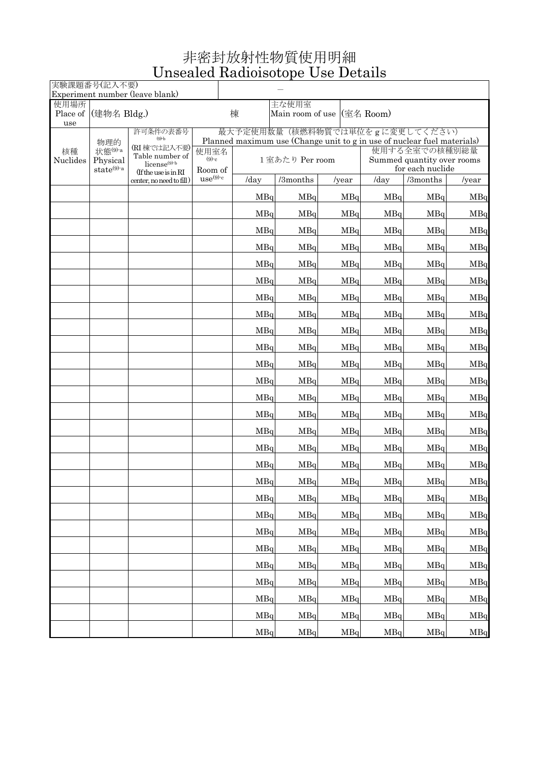## 非密封放射性物質使用明細 Unsealed Radioisotope Use Details

| 実験課題番号(記入不要)    |                 | Experiment number (leave blank)           |              |                                                               |          |               |                                                                                                           |          |               |  |  |
|-----------------|-----------------|-------------------------------------------|--------------|---------------------------------------------------------------|----------|---------------|-----------------------------------------------------------------------------------------------------------|----------|---------------|--|--|
| 使用場所            |                 |                                           |              |                                                               | 主な使用室    |               |                                                                                                           |          |               |  |  |
| Place of<br>use | (建物名 Bldg.)     |                                           |              | Main room of use (室名 Room)<br>棟                               |          |               |                                                                                                           |          |               |  |  |
|                 |                 | 許可条件の表番号<br>$(9)-b$                       |              |                                                               |          |               | 最大予定使用数量(核燃料物質では単位をgに変更してください)<br>Planned maximum use (Change unit to g in use of nuclear fuel materials) |          |               |  |  |
| 核種              | 物理的<br>状態(9)-a  | (RI棟では記入不要)                               | 使用室名         |                                                               |          |               |                                                                                                           |          |               |  |  |
| Nuclides        | Physical        | Table number of<br>license <sup>(9)</sup> | $(9)-c$      | 使用する全室での核種別総量<br>1室あたり Per room<br>Summed quantity over rooms |          |               |                                                                                                           |          |               |  |  |
|                 | $state^{(9)-a}$ | (If the use is in RI                      | Room of      |                                                               |          |               | for each nuclide                                                                                          |          |               |  |  |
|                 |                 | center, no need to fill)                  | $use^{(9)c}$ | /day                                                          | /3months | $\sqrt{year}$ | /day                                                                                                      | /3months | $\frac{1}{2}$ |  |  |
|                 |                 |                                           |              | MBq                                                           | MBq      | MBq           | MBq                                                                                                       | MBq      | MBq           |  |  |
|                 |                 |                                           |              | MBq                                                           | MBq      | MBq           | MBq                                                                                                       | MBq      | MBq           |  |  |
|                 |                 |                                           |              | MBq                                                           | MBq      | MBq           | MBq                                                                                                       | MBq      | MBq           |  |  |
|                 |                 |                                           |              | MBq                                                           | MBq      | MBq           | MBq                                                                                                       | MBq      | MBq           |  |  |
|                 |                 |                                           |              | MBq                                                           | MBq      | MBq           | MBq                                                                                                       | MBq      | MBq           |  |  |
|                 |                 |                                           |              | MBq                                                           | MBq      | MBq           | MBq                                                                                                       | MBq      | MBq           |  |  |
|                 |                 |                                           |              | MBq                                                           | MBq      | MBq           | MBq                                                                                                       | MBq      | MBq           |  |  |
|                 |                 |                                           |              | MBq                                                           | MBq      | MBq           | MBq                                                                                                       | MBq      | MBq           |  |  |
|                 |                 |                                           |              | MBq                                                           | MBq      | MBq           | MBq                                                                                                       | MBq      | MBq           |  |  |
|                 |                 |                                           |              | MBq                                                           | MBq      | MBq           | MBq                                                                                                       | MBq      | MBq           |  |  |
|                 |                 |                                           |              | MBq                                                           | MBq      | MBq           | MBq                                                                                                       | MBq      | MBq           |  |  |
|                 |                 |                                           |              | MBq                                                           | MBq      | MBq           | MBq                                                                                                       | MBq      | MBq           |  |  |
|                 |                 |                                           |              | MBq                                                           | MBq      | MBq           | MBq                                                                                                       | MBq      | MBq           |  |  |
|                 |                 |                                           |              | MBq                                                           | MBq      | MBq           | MBq                                                                                                       | MBq      | MBq           |  |  |
|                 |                 |                                           |              | MBq                                                           | MBq      | MBq           | MBq                                                                                                       | MBq      | MBq           |  |  |
|                 |                 |                                           |              | MBa                                                           | MBq      | MBq           | MBq                                                                                                       | MBq      | MBq           |  |  |
|                 |                 |                                           |              | MBq                                                           | MBq      | MBq           | MBq                                                                                                       | MBq      | MBq           |  |  |
|                 |                 |                                           |              | MBq                                                           | MBq      | MBq           | MBq                                                                                                       | MBq      | MBq           |  |  |
|                 |                 |                                           |              | MBq                                                           | MBq      | MBq           | MBq                                                                                                       | MBq      | MBq           |  |  |
|                 |                 |                                           |              | MBq                                                           | MBq      | MBq           | MBq                                                                                                       | MBq      | MBq           |  |  |
|                 |                 |                                           |              | MBq                                                           | MBq      | MBq           | MBq                                                                                                       | MBq      | MBq           |  |  |
|                 |                 |                                           |              | MBq                                                           | MBq      | MBq           | MBq                                                                                                       | MBq      | MBq           |  |  |
|                 |                 |                                           |              | MBq                                                           | MBq      | MBq           | MBq                                                                                                       | MBq      | MBq           |  |  |
|                 |                 |                                           |              | MBq                                                           | MBq      | MBq           | MBq                                                                                                       | MBq      | MBq           |  |  |
|                 |                 |                                           |              | MBq                                                           | MBq      | MBq           | MBq                                                                                                       | MBq      | MBq           |  |  |
|                 |                 |                                           |              | MBq                                                           | MBq      | MBq           | MBq                                                                                                       | MBq      | MBq           |  |  |
|                 |                 |                                           |              | MBq                                                           | MBq      | MBq           | MBq                                                                                                       | MBq      | MBq           |  |  |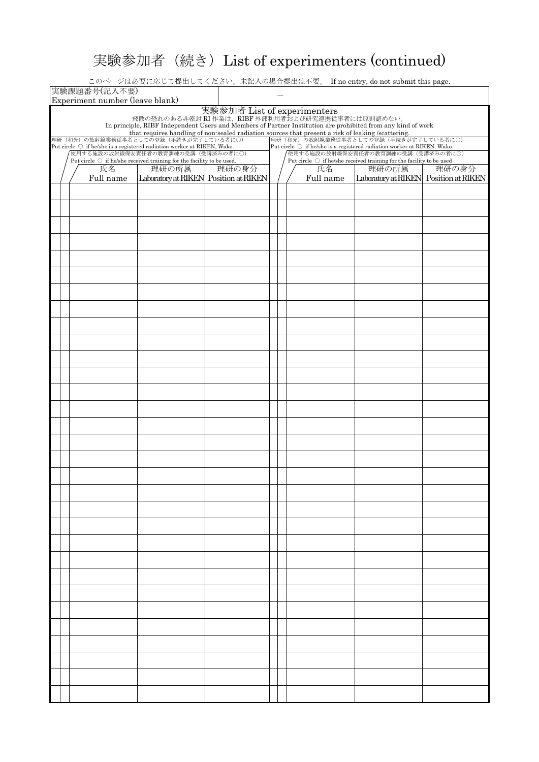## 実験参加者(続き)List of experimenters (continued)

このページは必要に応じて提出してください。未記入の場合提出は不要。 If no entry, do not submit this page.

|                                                                                                                                                                                                 | 実験課題番号(記入不要)<br>Experiment number (leave blank) |                                                                                                                        |       |                                                                                                                           |  |           |                                                                                            |       |  |  |  |
|-------------------------------------------------------------------------------------------------------------------------------------------------------------------------------------------------|-------------------------------------------------|------------------------------------------------------------------------------------------------------------------------|-------|---------------------------------------------------------------------------------------------------------------------------|--|-----------|--------------------------------------------------------------------------------------------|-------|--|--|--|
| 実験参加者 List of experimenters<br>飛散の恐れのある非密封 RI 作業は、RIBF 外部利用者および研究連携従事者には原則認めない。<br>In principle, RIBF Independent Users and Members of Partner Institution are prohibited from any kind of work |                                                 |                                                                                                                        |       |                                                                                                                           |  |           |                                                                                            |       |  |  |  |
|                                                                                                                                                                                                 |                                                 |                                                                                                                        |       |                                                                                                                           |  |           |                                                                                            |       |  |  |  |
|                                                                                                                                                                                                 |                                                 |                                                                                                                        |       |                                                                                                                           |  |           |                                                                                            |       |  |  |  |
|                                                                                                                                                                                                 |                                                 | Put circle $\bigcirc$ if he/she is a registered radiation worker at RIKEN, Wako.<br>使用する施設の放射線保安責任者の教育訓練の受講 (受講済みの者に〇) |       | Put circle $\,\bigcirc\,$ if he/she is a registered radiation worker at RIKEN, Wako.<br>使用する施設の放射線保安責任者の教育訓練の受講(受講済みの者に〇) |  |           |                                                                                            |       |  |  |  |
|                                                                                                                                                                                                 | 氏名                                              | Put circle $\bigcirc$ if he/she received training for the facility to be used.<br>理研の所属                                | 理研の身分 |                                                                                                                           |  | 氏名        | Put circle $\,\bigcirc\,$ if he/she received training for the facility to be used<br>理研の所属 | 理研の身分 |  |  |  |
|                                                                                                                                                                                                 | Full name                                       | Laboratory at RIKEN Position at RIKEN                                                                                  |       |                                                                                                                           |  | Full name | Laboratory at RIKEN Position at RIKEN                                                      |       |  |  |  |
|                                                                                                                                                                                                 |                                                 |                                                                                                                        |       |                                                                                                                           |  |           |                                                                                            |       |  |  |  |
|                                                                                                                                                                                                 |                                                 |                                                                                                                        |       |                                                                                                                           |  |           |                                                                                            |       |  |  |  |
|                                                                                                                                                                                                 |                                                 |                                                                                                                        |       |                                                                                                                           |  |           |                                                                                            |       |  |  |  |
|                                                                                                                                                                                                 |                                                 |                                                                                                                        |       |                                                                                                                           |  |           |                                                                                            |       |  |  |  |
|                                                                                                                                                                                                 |                                                 |                                                                                                                        |       |                                                                                                                           |  |           |                                                                                            |       |  |  |  |
|                                                                                                                                                                                                 |                                                 |                                                                                                                        |       |                                                                                                                           |  |           |                                                                                            |       |  |  |  |
|                                                                                                                                                                                                 |                                                 |                                                                                                                        |       |                                                                                                                           |  |           |                                                                                            |       |  |  |  |
|                                                                                                                                                                                                 |                                                 |                                                                                                                        |       |                                                                                                                           |  |           |                                                                                            |       |  |  |  |
|                                                                                                                                                                                                 |                                                 |                                                                                                                        |       |                                                                                                                           |  |           |                                                                                            |       |  |  |  |
|                                                                                                                                                                                                 |                                                 |                                                                                                                        |       |                                                                                                                           |  |           |                                                                                            |       |  |  |  |
|                                                                                                                                                                                                 |                                                 |                                                                                                                        |       |                                                                                                                           |  |           |                                                                                            |       |  |  |  |
|                                                                                                                                                                                                 |                                                 |                                                                                                                        |       |                                                                                                                           |  |           |                                                                                            |       |  |  |  |
|                                                                                                                                                                                                 |                                                 |                                                                                                                        |       |                                                                                                                           |  |           |                                                                                            |       |  |  |  |
|                                                                                                                                                                                                 |                                                 |                                                                                                                        |       |                                                                                                                           |  |           |                                                                                            |       |  |  |  |
|                                                                                                                                                                                                 |                                                 |                                                                                                                        |       |                                                                                                                           |  |           |                                                                                            |       |  |  |  |
|                                                                                                                                                                                                 |                                                 |                                                                                                                        |       |                                                                                                                           |  |           |                                                                                            |       |  |  |  |
|                                                                                                                                                                                                 |                                                 |                                                                                                                        |       |                                                                                                                           |  |           |                                                                                            |       |  |  |  |
|                                                                                                                                                                                                 |                                                 |                                                                                                                        |       |                                                                                                                           |  |           |                                                                                            |       |  |  |  |
|                                                                                                                                                                                                 |                                                 |                                                                                                                        |       |                                                                                                                           |  |           |                                                                                            |       |  |  |  |
|                                                                                                                                                                                                 |                                                 |                                                                                                                        |       |                                                                                                                           |  |           |                                                                                            |       |  |  |  |
|                                                                                                                                                                                                 |                                                 |                                                                                                                        |       |                                                                                                                           |  |           |                                                                                            |       |  |  |  |
|                                                                                                                                                                                                 |                                                 |                                                                                                                        |       |                                                                                                                           |  |           |                                                                                            |       |  |  |  |
|                                                                                                                                                                                                 |                                                 |                                                                                                                        |       |                                                                                                                           |  |           |                                                                                            |       |  |  |  |
|                                                                                                                                                                                                 |                                                 |                                                                                                                        |       |                                                                                                                           |  |           |                                                                                            |       |  |  |  |
|                                                                                                                                                                                                 |                                                 |                                                                                                                        |       |                                                                                                                           |  |           |                                                                                            |       |  |  |  |
|                                                                                                                                                                                                 |                                                 |                                                                                                                        |       |                                                                                                                           |  |           |                                                                                            |       |  |  |  |
|                                                                                                                                                                                                 |                                                 |                                                                                                                        |       |                                                                                                                           |  |           |                                                                                            |       |  |  |  |
|                                                                                                                                                                                                 |                                                 |                                                                                                                        |       |                                                                                                                           |  |           |                                                                                            |       |  |  |  |
|                                                                                                                                                                                                 |                                                 |                                                                                                                        |       |                                                                                                                           |  |           |                                                                                            |       |  |  |  |
|                                                                                                                                                                                                 |                                                 |                                                                                                                        |       |                                                                                                                           |  |           |                                                                                            |       |  |  |  |
|                                                                                                                                                                                                 |                                                 |                                                                                                                        |       |                                                                                                                           |  |           |                                                                                            |       |  |  |  |
|                                                                                                                                                                                                 |                                                 |                                                                                                                        |       |                                                                                                                           |  |           |                                                                                            |       |  |  |  |
|                                                                                                                                                                                                 |                                                 |                                                                                                                        |       |                                                                                                                           |  |           |                                                                                            |       |  |  |  |
|                                                                                                                                                                                                 |                                                 |                                                                                                                        |       |                                                                                                                           |  |           |                                                                                            |       |  |  |  |
|                                                                                                                                                                                                 |                                                 |                                                                                                                        |       |                                                                                                                           |  |           |                                                                                            |       |  |  |  |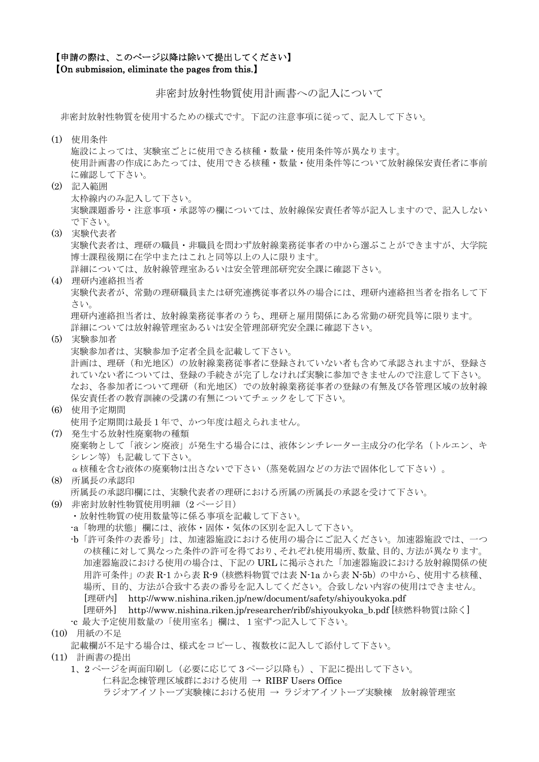## 【申請の際は、このページ以降は除いて提出してください】 【On submission, eliminate the pages from this.】

非密封放射性物質使用計画書への記入について

非密封放射性物質を使用するための様式です。下記の注意事項に従って、記入して下さい。

(1) 使用条件

施設によっては、実験室ごとに使用できる核種・数量・使用条件等が異なります。 使用計画書の作成にあたっては、使用できる核種・数量・使用条件等について放射線保安責任者に事前 に確認して下さい。

- (2) 記入範囲 太枠線内のみ記入して下さい。 実験課題番号・注意事項・承認等の欄については、放射線保安責任者等が記入しますので、記入しない で下さい。
- (3) 実験代表者 実験代表者は、理研の職員・非職員を問わず放射線業務従事者の中から選ぶことができますが、大学院 博士課程後期に在学中またはこれと同等以上の人に限ります。 詳細については、放射線管理室あるいは安全管理部研究安全課に確認下さい。
- (4) 理研内連絡担当者 実験代表者が、常勤の理研職員または研究連携従事者以外の場合には、理研内連絡担当者を指名して下 さい。 理研内連絡担当者は、放射線業務従事者のうち、理研と雇用関係にある常勤の研究員等に限ります。

詳細については放射線管理室あるいは安全管理部研究安全課に確認下さい。

- (5) 実験参加者
	- 実験参加者は、実験参加予定者全員を記載して下さい。

計画は、理研(和光地区)の放射線業務従事者に登録されていない者も含めて承認されますが、登録さ れていない者については、登録の手続きが完了しなければ実験に参加できませんので注意して下さい。 なお、各参加者について理研(和光地区)での放射線業務従事者の登録の有無及び各管理区域の放射線 保安責任者の教育訓練の受講の有無についてチェックをして下さい。

- (6) 使用予定期間 使用予定期間は最長1年で、かつ年度は超えられません。 (7) 発生する放射性廃棄物の種類
- 廃棄物として「液シン廃液」が発生する場合には、液体シンチレーター主成分の化学名(トルエン、キ シレン等)も記載して下さい。 α核種を含む液体の廃棄物は出さないで下さい(蒸発乾固などの方法で固体化して下さい)。
- (8) 所属長の承認印 所属長の承認印欄には、実験代表者の理研における所属の所属長の承認を受けて下さい。
- (9) 非密封放射性物質使用明細(2 ページ目)
	- ・放射性物質の使用数量等に係る事項を記載して下さい。
	- -a「物理的状態」欄には、液体・固体・気体の区別を記入して下さい。
	- -b「許可条件の表番号」は、加速器施設における使用の場合にご記入ください。加速器施設では、一つ の核種に対して異なった条件の許可を得ており、それぞれ使用場所、数量、目的、方法が異なります。 加速器施設における使用の場合は、下記の URL に掲示された「加速器施設における放射線関係の使 用許可条件」の表 R-1 から表 R-9 (核燃料物質では表 N-1a から表 N-5b) の中から、使用する核種、 場所、目的、方法が合致する表の番号を記入してください。合致しない内容の使用はできません。 [理研内] http://www.nishina.riken.jp/new/document/safety/shiyoukyoka.pdf [理研外] http://www.nishina.riken.jp/researcher/ribf/shiyoukyoka b.pdf [核燃料物質は除く]
	- -c 最大予定使用数量の「使用室名」欄は、1室ずつ記入して下さい。
- (10) 用紙の不足

- (11) 計画書の提出
	- 1、2 ページを両面印刷し(必要に応じて 3 ページ以降も)、下記に提出して下さい。 仁科記念棟管理区域群における使用 → RIBF Users Office ラジオアイソトープ実験棟における使用 → ラジオアイソトープ実験棟 放射線管理室

記載欄が不足する場合は、様式をコピーし、複数枚に記入して添付して下さい。